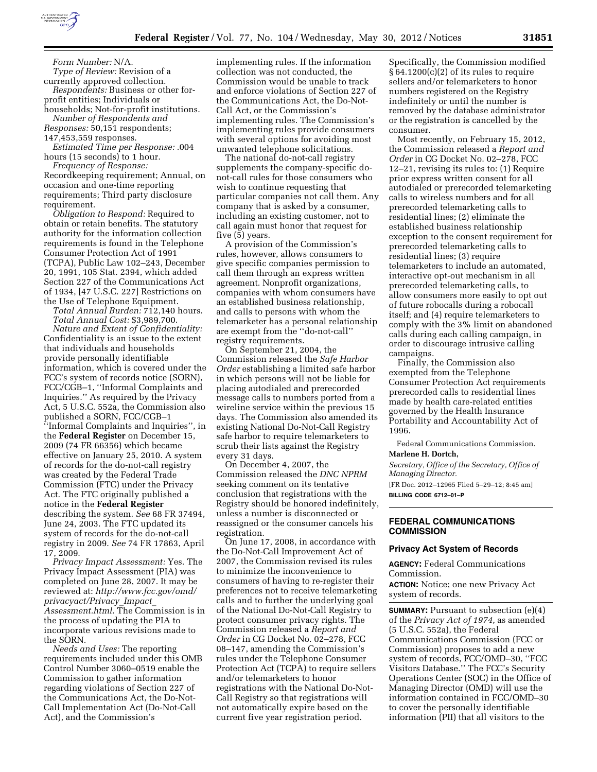

*Form Number:* N/A. *Type of Review:* Revision of a currently approved collection. *Respondents:* Business or other for-

profit entities; Individuals or households; Not-for-profit institutions.

*Number of Respondents and Responses:* 50,151 respondents;

147,453,559 responses.

*Estimated Time per Response:* .004 hours (15 seconds) to 1 hour.

*Frequency of Response:*  Recordkeeping requirement; Annual, on occasion and one-time reporting requirements; Third party disclosure requirement.

*Obligation to Respond:* Required to obtain or retain benefits. The statutory authority for the information collection requirements is found in the Telephone Consumer Protection Act of 1991 (TCPA), Public Law 102–243, December 20, 1991, 105 Stat. 2394, which added Section 227 of the Communications Act of 1934, [47 U.S.C. 227] Restrictions on the Use of Telephone Equipment.

*Total Annual Burden:* 712,140 hours. *Total Annual Cost:* \$3,989,700.

*Nature and Extent of Confidentiality:*  Confidentiality is an issue to the extent that individuals and households provide personally identifiable information, which is covered under the FCC's system of records notice (SORN), FCC/CGB–1, ''Informal Complaints and Inquiries.'' As required by the Privacy Act, 5 U.S.C. 552a, the Commission also published a SORN, FCC/CGB–1 ''Informal Complaints and Inquiries'', in the **Federal Register** on December 15, 2009 (74 FR 66356) which became effective on January 25, 2010. A system of records for the do-not-call registry was created by the Federal Trade Commission (FTC) under the Privacy Act. The FTC originally published a notice in the **Federal Register**  describing the system. *See* 68 FR 37494, June 24, 2003. The FTC updated its system of records for the do-not-call registry in 2009. *See* 74 FR 17863, April 17, 2009.

*Privacy Impact Assessment:* Yes. The Privacy Impact Assessment (PIA) was completed on June 28, 2007. It may be reviewed at: *[http://www.fcc.gov/omd/](http://www.fcc.gov/omd/privacyact/Privacy_Impact_Assessment.html)  [privacyact/Privacy](http://www.fcc.gov/omd/privacyact/Privacy_Impact_Assessment.html)*\_*Impact*\_ *[Assessment.html](http://www.fcc.gov/omd/privacyact/Privacy_Impact_Assessment.html)*. The Commission is in the process of updating the PIA to incorporate various revisions made to the SORN.

*Needs and Uses:* The reporting requirements included under this OMB Control Number 3060–0519 enable the Commission to gather information regarding violations of Section 227 of the Communications Act, the Do-Not-Call Implementation Act (Do-Not-Call Act), and the Commission's

implementing rules. If the information collection was not conducted, the Commission would be unable to track and enforce violations of Section 227 of the Communications Act, the Do-Not-Call Act, or the Commission's implementing rules. The Commission's implementing rules provide consumers with several options for avoiding most unwanted telephone solicitations.

The national do-not-call registry supplements the company-specific donot-call rules for those consumers who wish to continue requesting that particular companies not call them. Any company that is asked by a consumer, including an existing customer, not to call again must honor that request for five (5) years.

A provision of the Commission's rules, however, allows consumers to give specific companies permission to call them through an express written agreement. Nonprofit organizations, companies with whom consumers have an established business relationship, and calls to persons with whom the telemarketer has a personal relationship are exempt from the ''do-not-call'' registry requirements.

On September 21, 2004, the Commission released the *Safe Harbor Order* establishing a limited safe harbor in which persons will not be liable for placing autodialed and prerecorded message calls to numbers ported from a wireline service within the previous 15 days. The Commission also amended its existing National Do-Not-Call Registry safe harbor to require telemarketers to scrub their lists against the Registry every 31 days.

On December 4, 2007, the Commission released the *DNC NPRM*  seeking comment on its tentative conclusion that registrations with the Registry should be honored indefinitely, unless a number is disconnected or reassigned or the consumer cancels his registration.

On June 17, 2008, in accordance with the Do-Not-Call Improvement Act of 2007, the Commission revised its rules to minimize the inconvenience to consumers of having to re-register their preferences not to receive telemarketing calls and to further the underlying goal of the National Do-Not-Call Registry to protect consumer privacy rights. The Commission released a *Report and Order* in CG Docket No. 02–278, FCC 08–147, amending the Commission's rules under the Telephone Consumer Protection Act (TCPA) to require sellers and/or telemarketers to honor registrations with the National Do-Not-Call Registry so that registrations will not automatically expire based on the current five year registration period.

Specifically, the Commission modified § 64.1200(c)(2) of its rules to require sellers and/or telemarketers to honor numbers registered on the Registry indefinitely or until the number is removed by the database administrator or the registration is cancelled by the consumer.

Most recently, on February 15, 2012, the Commission released a *Report and Order* in CG Docket No. 02–278, FCC 12–21, revising its rules to: (1) Require prior express written consent for all autodialed or prerecorded telemarketing calls to wireless numbers and for all prerecorded telemarketing calls to residential lines; (2) eliminate the established business relationship exception to the consent requirement for prerecorded telemarketing calls to residential lines; (3) require telemarketers to include an automated, interactive opt-out mechanism in all prerecorded telemarketing calls, to allow consumers more easily to opt out of future robocalls during a robocall itself; and (4) require telemarketers to comply with the 3% limit on abandoned calls during each calling campaign, in order to discourage intrusive calling campaigns.

Finally, the Commission also exempted from the Telephone Consumer Protection Act requirements prerecorded calls to residential lines made by health care-related entities governed by the Health Insurance Portability and Accountability Act of 1996.

Federal Communications Commission. **Marlene H. Dortch,** 

*Secretary, Office of the Secretary, Office of Managing Director.* 

[FR Doc. 2012–12965 Filed 5–29–12; 8:45 am] **BILLING CODE 6712–01–P** 

# **FEDERAL COMMUNICATIONS COMMISSION**

### **Privacy Act System of Records**

**AGENCY:** Federal Communications Commission.

**ACTION:** Notice; one new Privacy Act system of records.

**SUMMARY:** Pursuant to subsection (e)(4) of the *Privacy Act of 1974,* as amended (5 U.S.C. 552a), the Federal Communications Commission (FCC or Commission) proposes to add a new system of records, FCC/OMD–30, ''FCC Visitors Database.'' The FCC's Security Operations Center (SOC) in the Office of Managing Director (OMD) will use the information contained in FCC/OMD–30 to cover the personally identifiable information (PII) that all visitors to the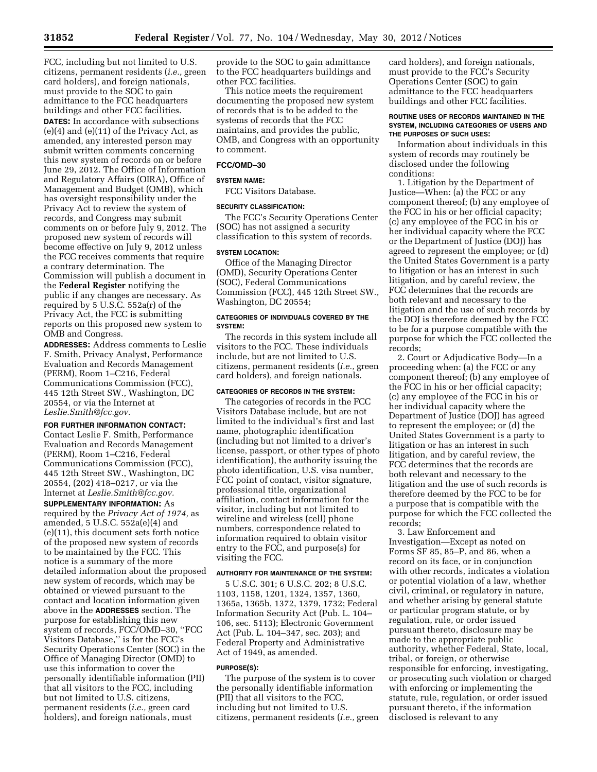FCC, including but not limited to U.S. citizens, permanent residents (*i.e.,* green card holders), and foreign nationals, must provide to the SOC to gain admittance to the FCC headquarters buildings and other FCC facilities. **DATES:** In accordance with subsections  $(e)(4)$  and  $(e)(11)$  of the Privacy Act, as amended, any interested person may submit written comments concerning this new system of records on or before June 29, 2012. The Office of Information and Regulatory Affairs (OIRA), Office of Management and Budget (OMB), which has oversight responsibility under the Privacy Act to review the system of records, and Congress may submit comments on or before July 9, 2012. The proposed new system of records will become effective on July 9, 2012 unless the FCC receives comments that require a contrary determination. The Commission will publish a document in the **Federal Register** notifying the public if any changes are necessary. As required by 5 U.S.C. 552a(r) of the Privacy Act, the FCC is submitting reports on this proposed new system to OMB and Congress.

**ADDRESSES:** Address comments to Leslie F. Smith, Privacy Analyst, Performance Evaluation and Records Management (PERM), Room 1–C216, Federal Communications Commission (FCC), 445 12th Street SW., Washington, DC 20554, or via the Internet at *[Leslie.Smith@fcc.gov.](mailto:Leslie.Smith@fcc.gov)* 

# **FOR FURTHER INFORMATION CONTACT:**

Contact Leslie F. Smith, Performance Evaluation and Records Management (PERM), Room 1–C216, Federal Communications Commission (FCC), 445 12th Street SW., Washington, DC 20554, (202) 418–0217, or via the Internet at *[Leslie.Smith@fcc.gov.](mailto:Leslie.Smith@fcc.gov)* 

**SUPPLEMENTARY INFORMATION:** As required by the *Privacy Act of 1974,* as amended, 5 U.S.C. 552a(e)(4) and (e)(11), this document sets forth notice of the proposed new system of records to be maintained by the FCC. This notice is a summary of the more detailed information about the proposed new system of records, which may be obtained or viewed pursuant to the contact and location information given above in the **ADDRESSES** section. The purpose for establishing this new system of records, FCC/OMD–30, ''FCC Visitors Database,'' is for the FCC's Security Operations Center (SOC) in the Office of Managing Director (OMD) to use this information to cover the personally identifiable information (PII) that all visitors to the FCC, including but not limited to U.S. citizens, permanent residents (*i.e.,* green card holders), and foreign nationals, must

provide to the SOC to gain admittance to the FCC headquarters buildings and other FCC facilities.

This notice meets the requirement documenting the proposed new system of records that is to be added to the systems of records that the FCC maintains, and provides the public, OMB, and Congress with an opportunity to comment.

# **FCC/OMD–30**

#### **SYSTEM NAME:**

FCC Visitors Database.

# **SECURITY CLASSIFICATION:**

The FCC's Security Operations Center (SOC) has not assigned a security classification to this system of records.

### **SYSTEM LOCATION:**

Office of the Managing Director (OMD), Security Operations Center (SOC), Federal Communications Commission (FCC), 445 12th Street SW., Washington, DC 20554;

### **CATEGORIES OF INDIVIDUALS COVERED BY THE SYSTEM:**

The records in this system include all visitors to the FCC. These individuals include, but are not limited to U.S. citizens, permanent residents (*i.e.,* green card holders), and foreign nationals.

### **CATEGORIES OF RECORDS IN THE SYSTEM:**

The categories of records in the FCC Visitors Database include, but are not limited to the individual's first and last name, photographic identification (including but not limited to a driver's license, passport, or other types of photo identification), the authority issuing the photo identification, U.S. visa number, FCC point of contact, visitor signature, professional title, organizational affiliation, contact information for the visitor, including but not limited to wireline and wireless (cell) phone numbers, correspondence related to information required to obtain visitor entry to the FCC, and purpose(s) for visiting the FCC.

## **AUTHORITY FOR MAINTENANCE OF THE SYSTEM:**

5 U.S.C. 301; 6 U.S.C. 202; 8 U.S.C. 1103, 1158, 1201, 1324, 1357, 1360, 1365a, 1365b, 1372, 1379, 1732; Federal Information Security Act (Pub. L. 104– 106, sec. 5113); Electronic Government Act (Pub. L. 104–347, sec. 203); and Federal Property and Administrative Act of 1949, as amended.

#### **PURPOSE(S):**

The purpose of the system is to cover the personally identifiable information (PII) that all visitors to the FCC, including but not limited to U.S. citizens, permanent residents (*i.e.,* green

card holders), and foreign nationals, must provide to the FCC's Security Operations Center (SOC) to gain admittance to the FCC headquarters buildings and other FCC facilities.

### **ROUTINE USES OF RECORDS MAINTAINED IN THE SYSTEM, INCLUDING CATEGORIES OF USERS AND THE PURPOSES OF SUCH USES:**

Information about individuals in this system of records may routinely be disclosed under the following conditions:

1. Litigation by the Department of Justice—When: (a) the FCC or any component thereof; (b) any employee of the FCC in his or her official capacity; (c) any employee of the FCC in his or her individual capacity where the FCC or the Department of Justice (DOJ) has agreed to represent the employee; or (d) the United States Government is a party to litigation or has an interest in such litigation, and by careful review, the FCC determines that the records are both relevant and necessary to the litigation and the use of such records by the DOJ is therefore deemed by the FCC to be for a purpose compatible with the purpose for which the FCC collected the records;

2. Court or Adjudicative Body—In a proceeding when: (a) the FCC or any component thereof; (b) any employee of the FCC in his or her official capacity; (c) any employee of the FCC in his or her individual capacity where the Department of Justice (DOJ) has agreed to represent the employee; or (d) the United States Government is a party to litigation or has an interest in such litigation, and by careful review, the FCC determines that the records are both relevant and necessary to the litigation and the use of such records is therefore deemed by the FCC to be for a purpose that is compatible with the purpose for which the FCC collected the records;

3. Law Enforcement and Investigation—Except as noted on Forms SF 85, 85–P, and 86, when a record on its face, or in conjunction with other records, indicates a violation or potential violation of a law, whether civil, criminal, or regulatory in nature, and whether arising by general statute or particular program statute, or by regulation, rule, or order issued pursuant thereto, disclosure may be made to the appropriate public authority, whether Federal, State, local, tribal, or foreign, or otherwise responsible for enforcing, investigating, or prosecuting such violation or charged with enforcing or implementing the statute, rule, regulation, or order issued pursuant thereto, if the information disclosed is relevant to any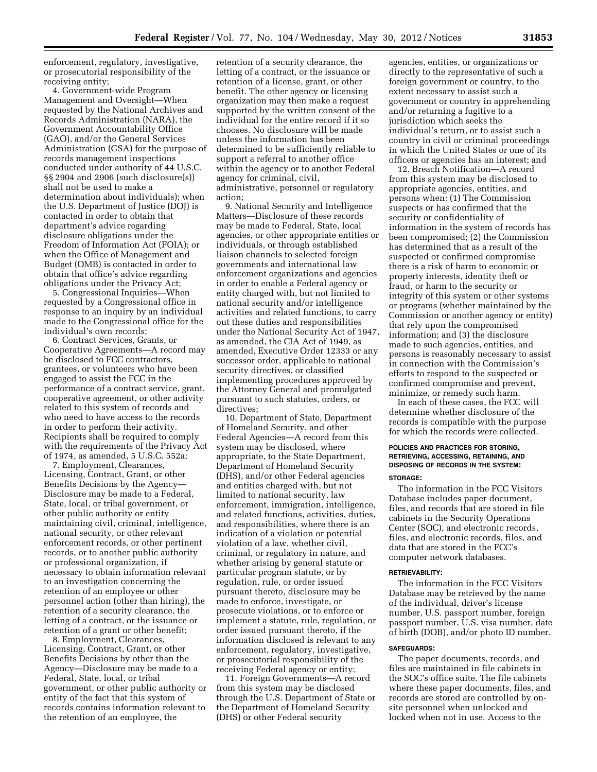enforcement, regulatory, investigative, or prosecutorial responsibility of the receiving entity;

4. Government-wide Program Management and Oversight—When requested by the National Archives and Records Administration (NARA), the Government Accountability Office (GAO), and/or the General Services Administration (GSA) for the purpose of records management inspections conducted under authority of 44 U.S.C. §§ 2904 and 2906 (such disclosure(s)) shall not be used to make a determination about individuals); when the U.S. Department of Justice (DOJ) is contacted in order to obtain that department's advice regarding disclosure obligations under the Freedom of Information Act (FOIA); or when the Office of Management and Budget (OMB) is contacted in order to obtain that office's advice regarding obligations under the Privacy Act;

5. Congressional Inquiries—When requested by a Congressional office in response to an inquiry by an individual made to the Congressional office for the individual's own records;

6. Contract Services, Grants, or Cooperative Agreements—A record may be disclosed to FCC contractors, grantees, or volunteers who have been engaged to assist the FCC in the performance of a contract service, grant, cooperative agreement, or other activity related to this system of records and who need to have access to the records in order to perform their activity. Recipients shall be required to comply with the requirements of the Privacy Act of 1974, as amended, 5 U.S.C. 552a;

7. Employment, Clearances, Licensing, Contract, Grant, or other Benefits Decisions by the Agency— Disclosure may be made to a Federal, State, local, or tribal government, or other public authority or entity maintaining civil, criminal, intelligence, national security, or other relevant enforcement records, or other pertinent records, or to another public authority or professional organization, if necessary to obtain information relevant to an investigation concerning the retention of an employee or other personnel action (other than hiring), the retention of a security clearance, the letting of a contract, or the issuance or retention of a grant or other benefit;

8. Employment, Clearances, Licensing, Contract, Grant, or other Benefits Decisions by other than the Agency—Disclosure may be made to a Federal, State, local, or tribal government, or other public authority or entity of the fact that this system of records contains information relevant to the retention of an employee, the

retention of a security clearance, the letting of a contract, or the issuance or retention of a license, grant, or other benefit. The other agency or licensing organization may then make a request supported by the written consent of the individual for the entire record if it so chooses. No disclosure will be made unless the information has been determined to be sufficiently reliable to support a referral to another office within the agency or to another Federal agency for criminal, civil, administrative, personnel or regulatory action;

9. National Security and Intelligence Matters—Disclosure of these records may be made to Federal, State, local agencies, or other appropriate entities or individuals, or through established liaison channels to selected foreign governments and international law enforcement organizations and agencies in order to enable a Federal agency or entity charged with, but not limited to national security and/or intelligence activities and related functions, to carry out these duties and responsibilities under the National Security Act of 1947, as amended, the CIA Act of 1949, as amended, Executive Order 12333 or any successor order, applicable to national security directives, or classified implementing procedures approved by the Attorney General and promulgated pursuant to such statutes, orders, or directives;

10. Department of State, Department of Homeland Security, and other Federal Agencies—A record from this system may be disclosed, where appropriate, to the State Department, Department of Homeland Security (DHS), and/or other Federal agencies and entities charged with, but not limited to national security, law enforcement, immigration, intelligence, and related functions, activities, duties, and responsibilities, where there is an indication of a violation or potential violation of a law, whether civil, criminal, or regulatory in nature, and whether arising by general statute or particular program statute, or by regulation, rule, or order issued pursuant thereto, disclosure may be made to enforce, investigate, or prosecute violations, or to enforce or implement a statute, rule, regulation, or order issued pursuant thereto, if the information disclosed is relevant to any enforcement, regulatory, investigative, or prosecutorial responsibility of the receiving Federal agency or entity;

11. Foreign Governments—A record from this system may be disclosed through the U.S. Department of State or the Department of Homeland Security (DHS) or other Federal security

agencies, entities, or organizations or directly to the representative of such a foreign government or country, to the extent necessary to assist such a government or country in apprehending and/or returning a fugitive to a jurisdiction which seeks the individual's return, or to assist such a country in civil or criminal proceedings in which the United States or one of its officers or agencies has an interest; and

12. Breach Notification—A record from this system may be disclosed to appropriate agencies, entities, and persons when: (1) The Commission suspects or has confirmed that the security or confidentiality of information in the system of records has been compromised; (2) the Commission has determined that as a result of the suspected or confirmed compromise there is a risk of harm to economic or property interests, identity theft or fraud, or harm to the security or integrity of this system or other systems or programs (whether maintained by the Commission or another agency or entity) that rely upon the compromised information; and (3) the disclosure made to such agencies, entities, and persons is reasonably necessary to assist in connection with the Commission's efforts to respond to the suspected or confirmed compromise and prevent, minimize, or remedy such harm.

In each of these cases, the FCC will determine whether disclosure of the records is compatible with the purpose for which the records were collected.

# **POLICIES AND PRACTICES FOR STORING, RETRIEVING, ACCESSING, RETAINING, AND DISPOSING OF RECORDS IN THE SYSTEM: STORAGE:**

The information in the FCC Visitors Database includes paper document, files, and records that are stored in file cabinets in the Security Operations Center (SOC), and electronic records, files, and electronic records, files, and data that are stored in the FCC's computer network databases.

#### **RETRIEVABILITY:**

The information in the FCC Visitors Database may be retrieved by the name of the individual, driver's license number, U.S. passport number, foreign passport number, U.S. visa number, date of birth (DOB), and/or photo ID number.

#### **SAFEGUARDS:**

The paper documents, records, and files are maintained in file cabinets in the SOC's office suite. The file cabinets where these paper documents, files, and records are stored are controlled by onsite personnel when unlocked and locked when not in use. Access to the